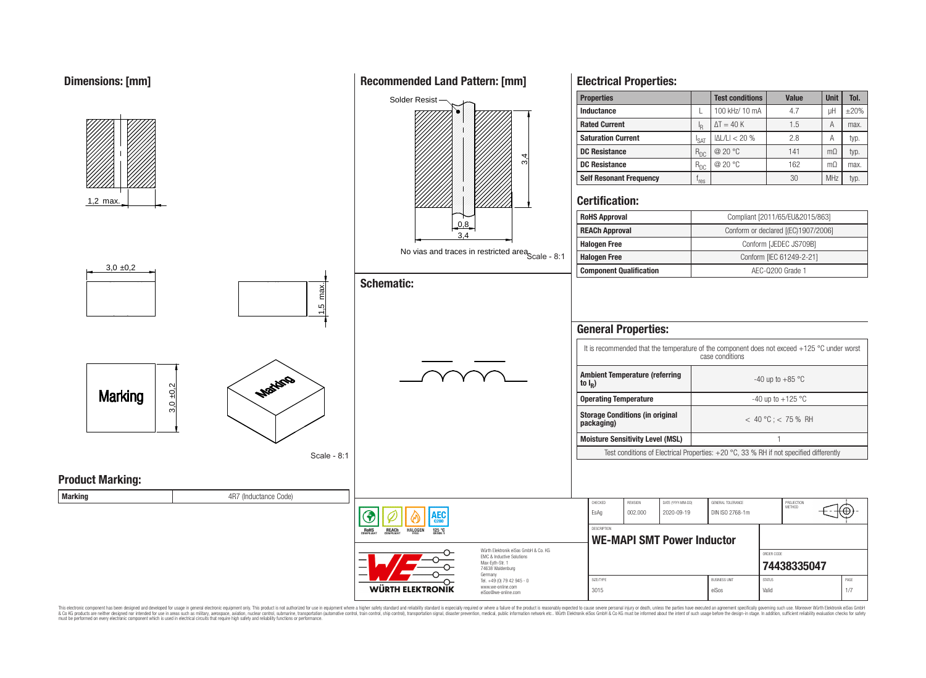

This electronic component has been designed and developed for usage in general electronic equipment only. This product is not authorized for use in equipment where a higher safety standard and reliability standard is espec & Ook product a label and the membed of the seasuch as marked and as which such a membed and the such assume that income in the seasuch and the simulation and the such assume that include to the such a membed and the such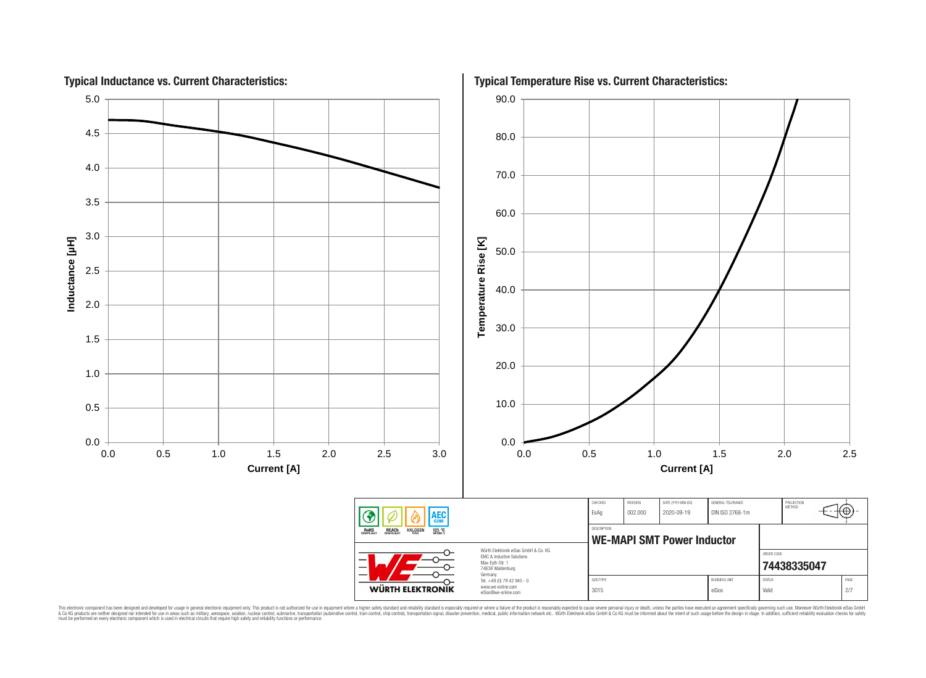

This electronic component has been designed and developed for usage in general electronic equipment only. This product is not authorized for subserved requipment where a higher selection equipment where a higher selection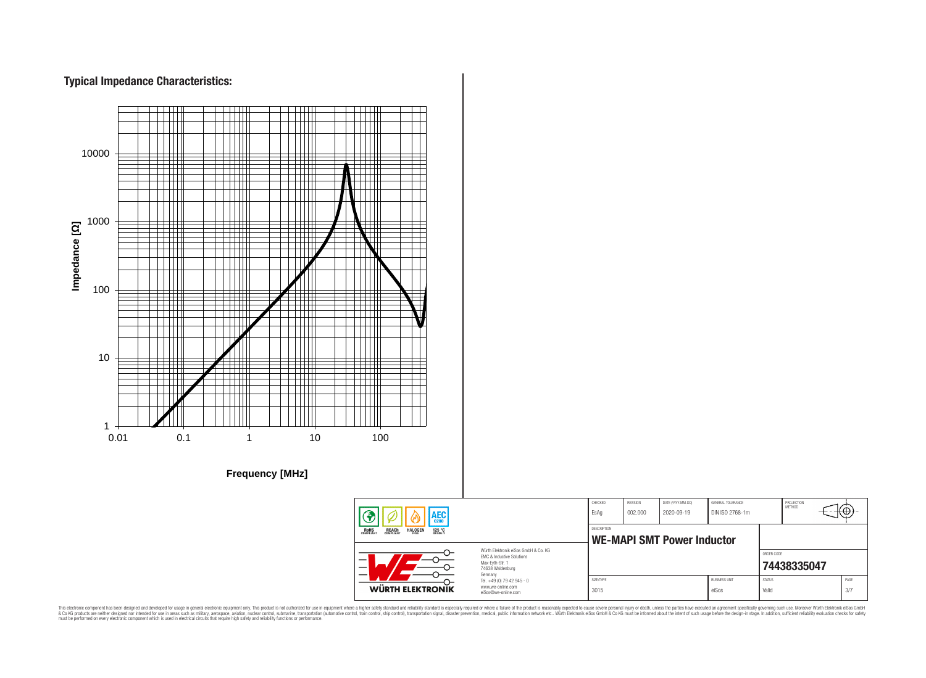# **Typical Impedance Characteristics:**



This electronic component has been designed and developed for usage in general electronic equipment only. This product is not authorized for use in equipment where a higher safely standard and reliability standard si espec & Ook product a label and the membed of the seasuch as marked and as which such a membed and the such assume that income in the seasuch and the simulation and the such assume that include to the such a membed and the such

76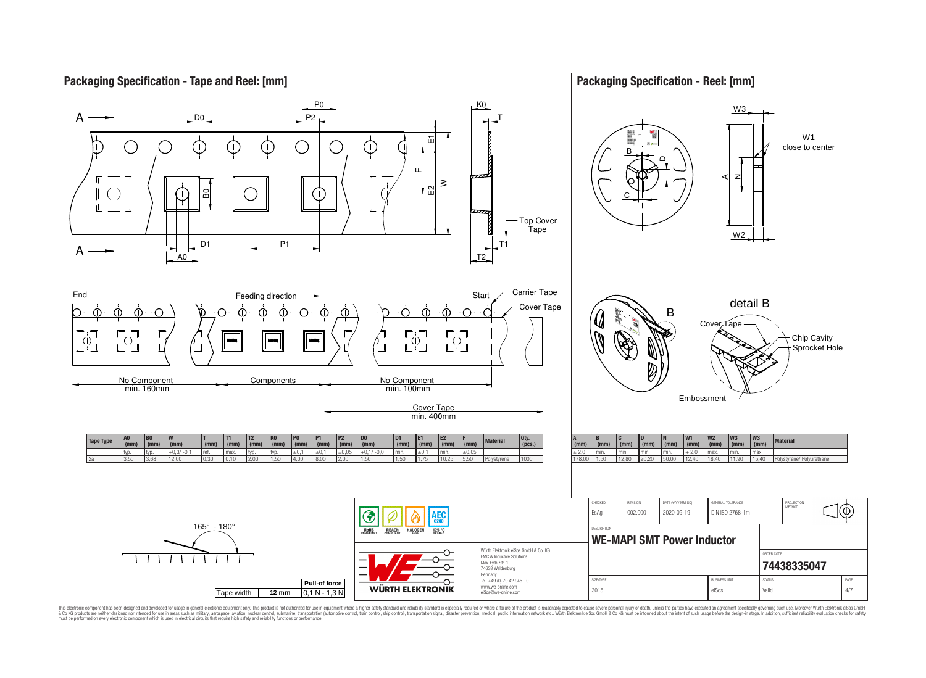## **Packaging Specification - Tape and Reel: [mm]**

## **Packaging Specification - Reel: [mm]**



This electronic component has been designed and developed for usage in general electronic equipment only. This product is not authorized for subserved requipment where a higher selection equipment where a higher selection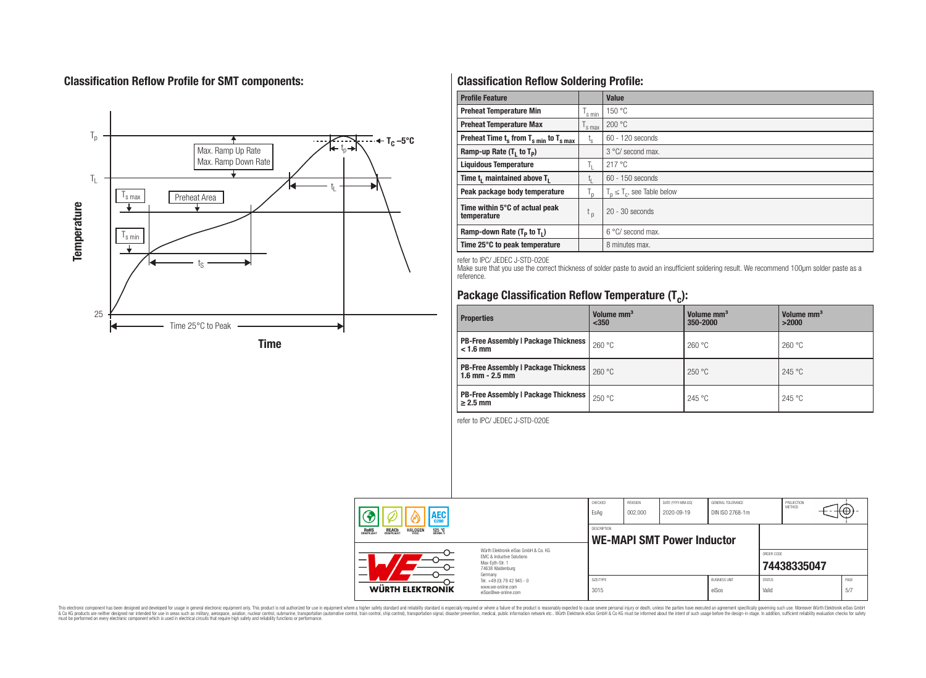# **Classification Reflow Profile for SMT components:**



# **Classification Reflow Soldering Profile:**

| <b>Profile Feature</b>                             |                    | <b>Value</b>                     |
|----------------------------------------------------|--------------------|----------------------------------|
| <b>Preheat Temperature Min</b>                     | <sup>I</sup> s min | 150 °C                           |
| <b>Preheat Temperature Max</b>                     | <sup>I</sup> s max | 200 °C                           |
| Preheat Time $t_s$ from $T_{s min}$ to $T_{s max}$ | $t_{\rm s}$        | $60 - 120$ seconds               |
| Ramp-up Rate $(T_1$ to $T_p$ )                     |                    | 3 °C/ second max.                |
| <b>Liquidous Temperature</b>                       | Ь.                 | 217 °C                           |
| Time $t_i$ maintained above $T_i$                  | կ                  | $60 - 150$ seconds               |
| Peak package body temperature                      | l n                | $T_p \leq T_c$ , see Table below |
| Time within 5°C of actual peak<br>temperature      | $t_{p}$            | $20 - 30$ seconds                |
| Ramp-down Rate $(T_p$ to $T_1$ )                   |                    | $6^{\circ}$ C/ second max.       |
| Time 25°C to peak temperature                      |                    | 8 minutes max.                   |

refer to IPC/ JEDEC J-STD-020E

Make sure that you use the correct thickness of solder paste to avoid an insufficient soldering result. We recommend 100µm solder paste as a reference.

# **Package Classification Reflow Temperature (T<sup>c</sup> ):**

| <b>Properties</b>                                                    | Volume mm <sup>3</sup><br>< 350 | Volume mm <sup>3</sup><br>350-2000 | Volume mm <sup>3</sup><br>>2000 |  |
|----------------------------------------------------------------------|---------------------------------|------------------------------------|---------------------------------|--|
| <b>PB-Free Assembly   Package Thickness  </b><br>$< 1.6$ mm          | 260 °C                          | 260 °C                             | 260 °C                          |  |
| <b>PB-Free Assembly   Package Thickness  </b><br>$1.6$ mm $- 2.5$ mm | 260 °C                          | 250 °C                             | 245 °C                          |  |
| <b>PB-Free Assembly   Package Thickness  </b><br>$\geq$ 2.5 mm       | 250 °C                          | 245 °C                             | 245 °C                          |  |

refer to IPC/ JEDEC J-STD-020E

| AEC<br><b>REACH</b><br>COMPLIANT<br><b>HALOGEN</b><br><b>ROHS</b><br>COMPLIANT<br>125 °C<br>Grade 1 |                                                                                                                     | CHECKED<br>EsAq                                  | <b>REVISION</b><br>002.000 | DATE (YYYY-MM-DD)<br>2020-09-19 | GENERAL TOLERANCE<br>DIN ISO 2768-1m |                        | PROJECTION<br>METHOD |             |
|-----------------------------------------------------------------------------------------------------|---------------------------------------------------------------------------------------------------------------------|--------------------------------------------------|----------------------------|---------------------------------|--------------------------------------|------------------------|----------------------|-------------|
|                                                                                                     |                                                                                                                     | DESCRIPTION<br><b>WE-MAPI SMT Power Inductor</b> |                            |                                 |                                      |                        |                      |             |
|                                                                                                     | Würth Flektronik eiSos GmbH & Co. KG<br>FMC & Inductive Solutions<br>Max-Eyth-Str. 1<br>74638 Waldenburg<br>Germany |                                                  |                            |                                 |                                      | ORDER CODE             | 74438335047          |             |
| WÜRTH ELEKTRONIK                                                                                    | Tel. +49 (0) 79 42 945 - 0<br>www.we-online.com<br>eiSos@we-online.com                                              | SIZE/TYPE<br>3015                                |                            |                                 | <b>BUSINESS UNIT</b><br>eiSos        | <b>STATUS</b><br>Valid |                      | PAGE<br>5/7 |

This electronic component has been designed and developed for usage in general electronic equipment only. This product is not authorized for subserved requipment where a higher selection equipment where a higher selection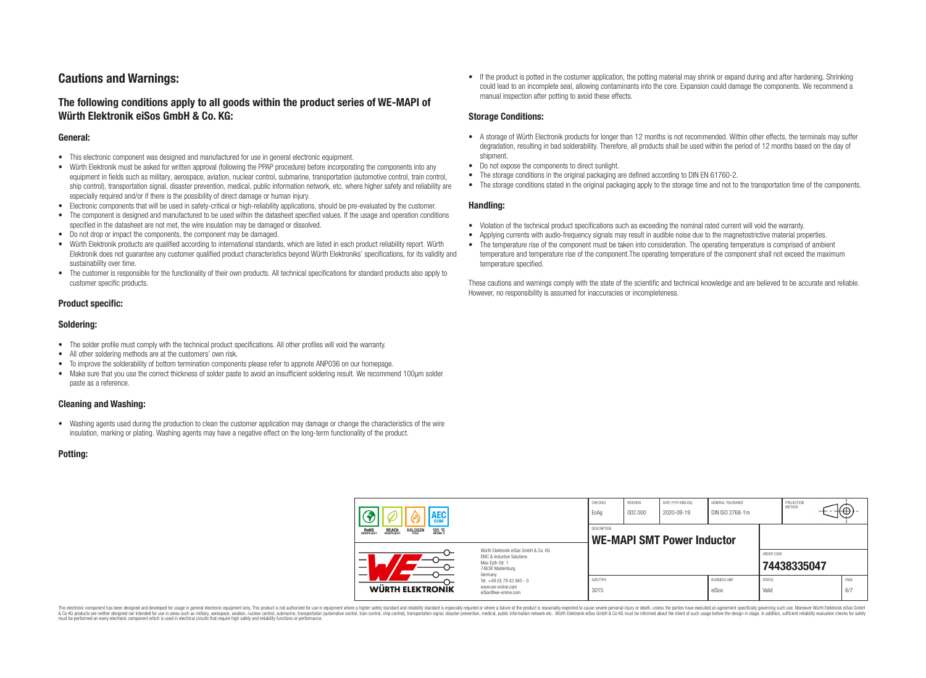# **Cautions and Warnings:**

## **The following conditions apply to all goods within the product series of WE-MAPI of Würth Elektronik eiSos GmbH & Co. KG:**

#### **General:**

- This electronic component was designed and manufactured for use in general electronic equipment.
- Würth Elektronik must be asked for written approval (following the PPAP procedure) before incorporating the components into any equipment in fields such as military, aerospace, aviation, nuclear control, submarine, transportation (automotive control, train control, ship control), transportation signal, disaster prevention, medical, public information network, etc. where higher safety and reliability are especially required and/or if there is the possibility of direct damage or human injury.
- Electronic components that will be used in safety-critical or high-reliability applications, should be pre-evaluated by the customer.
- The component is designed and manufactured to be used within the datasheet specified values. If the usage and operation conditions specified in the datasheet are not met, the wire insulation may be damaged or dissolved.
- Do not drop or impact the components, the component may be damaged.
- Würth Elektronik products are qualified according to international standards, which are listed in each product reliability report. Würth Elektronik does not guarantee any customer qualified product characteristics beyond Würth Elektroniks' specifications, for its validity and sustainability over time.
- The customer is responsible for the functionality of their own products. All technical specifications for standard products also apply to customer specific products.

#### **Product specific:**

#### **Soldering:**

- The solder profile must comply with the technical product specifications. All other profiles will void the warranty.
- All other soldering methods are at the customers' own risk.
- To improve the solderability of bottom termination components please refer to appnote ANP036 on our homepage.
- Make sure that you use the correct thickness of solder paste to avoid an insufficient soldering result. We recommend 100µm solder paste as a reference.

#### **Cleaning and Washing:**

• Washing agents used during the production to clean the customer application may damage or change the characteristics of the wire insulation, marking or plating. Washing agents may have a negative effect on the long-term functionality of the product.

#### **Potting:**

• If the product is potted in the costumer application, the potting material may shrink or expand during and after hardening. Shrinking could lead to an incomplete seal, allowing contaminants into the core. Expansion could damage the components. We recommend a manual inspection after potting to avoid these effects.

#### **Storage Conditions:**

- A storage of Würth Electronik products for longer than 12 months is not recommended. Within other effects, the terminals may suffer degradation, resulting in bad solderability. Therefore, all products shall be used within the period of 12 months based on the day of shipment.
- Do not expose the components to direct sunlight.
- The storage conditions in the original packaging are defined according to DIN EN 61760-2.
- The storage conditions stated in the original packaging apply to the storage time and not to the transportation time of the components.

#### **Handling:**

- Violation of the technical product specifications such as exceeding the nominal rated current will void the warranty.
- Applying currents with audio-frequency signals may result in audible noise due to the magnetostrictive material properties.
- The temperature rise of the component must be taken into consideration. The operating temperature is comprised of ambient temperature and temperature rise of the component.The operating temperature of the component shall not exceed the maximum temperature specified.

These cautions and warnings comply with the state of the scientific and technical knowledge and are believed to be accurate and reliable. However, no responsibility is assumed for inaccuracies or incompleteness.

| AEC                                                                               |                                                                                                                                                                                               | CHECKED<br>EsAq                                  | <b>REVISION</b><br>002.000 | DATE (YYYY-MM-DD)<br>2020-09-19 | GENERAL TOLERANCE<br>DIN ISO 2768-1m |                        | PROJECTION<br>METHOD | ťΦ          |
|-----------------------------------------------------------------------------------|-----------------------------------------------------------------------------------------------------------------------------------------------------------------------------------------------|--------------------------------------------------|----------------------------|---------------------------------|--------------------------------------|------------------------|----------------------|-------------|
| 125 °C<br><b>ROHS</b><br>COMPLIANT<br><b>REACH</b><br>COMPLIANT<br><b>HALOGEN</b> |                                                                                                                                                                                               | DESCRIPTION<br><b>WE-MAPI SMT Power Inductor</b> |                            |                                 |                                      |                        |                      |             |
|                                                                                   | Würth Flektronik eiSos GmbH & Co. KG<br>FMC & Inductive Solutions<br>Max-Eyth-Str. 1<br>74638 Waldenburg<br>Germany<br>Tel. +49 (0) 79 42 945 - 0<br>www.we-online.com<br>eiSos@we-online.com |                                                  |                            |                                 |                                      | ORDER CODE             | 74438335047          |             |
| WÜRTH ELEKTRONIK                                                                  |                                                                                                                                                                                               | SIZE/TYPE<br>3015                                |                            |                                 | <b>BUSINESS UNIT</b><br>eiSos        | <b>STATUS</b><br>Valid |                      | PAGE<br>6/7 |

This electronic component has been designed and developed for usage in general electronic equipment only. This product is not authorized for use in equipment where a higher safety standard and reliability standard si espec & Ook product a label and the membed of the seasuch as marked and as which such a membed and the such assume that income in the seasuch and the simulation and the such assume that include to the such a membed and the such